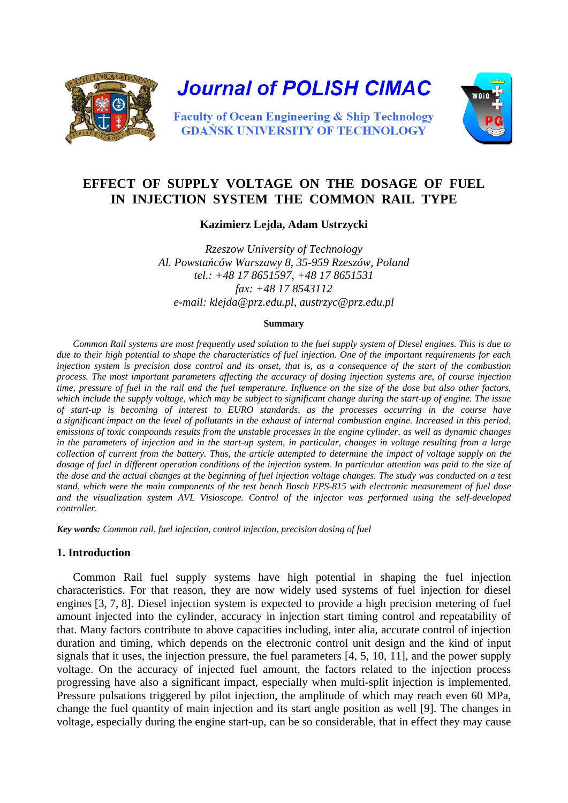

**Journal of POLISH CIMAC** 

**Faculty of Ocean Engineering & Ship Technology GDANSK UNIVERSITY OF TECHNOLOGY** 



# **EFFECT OF SUPPLY VOLTAGE ON THE DOSAGE OF FUEL IN INJECTION SYSTEM THE COMMON RAIL TYPE**

**Kazimierz Lejda, Adam Ustrzycki** 

*Rzeszow University of Technology Al. Powstańców Warszawy 8, 35-959 Rzeszów, Poland tel.: +48 17 8651597, +48 17 8651531 fax: +48 17 8543112 e-mail: klejda@prz.edu.pl, austrzyc@prz.edu.pl* 

#### **Summary**

*Common Rail systems are most frequently used solution to the fuel supply system of Diesel engines. This is due to due to their high potential to shape the characteristics of fuel injection. One of the important requirements for each injection system is precision dose control and its onset, that is, as a consequence of the start of the combustion process. The most important parameters affecting the accuracy of dosing injection systems are, of course injection time, pressure of fuel in the rail and the fuel temperature. Influence on the size of the dose but also other factors, which include the supply voltage, which may be subject to significant change during the start-up of engine. The issue of start-up is becoming of interest to EURO standards, as the processes occurring in the course have a significant impact on the level of pollutants in the exhaust of internal combustion engine. Increased in this period, emissions of toxic compounds results from the unstable processes in the engine cylinder, as well as dynamic changes in the parameters of injection and in the start-up system, in particular, changes in voltage resulting from a large collection of current from the battery. Thus, the article attempted to determine the impact of voltage supply on the dosage of fuel in different operation conditions of the injection system. In particular attention was paid to the size of the dose and the actual changes at the beginning of fuel injection voltage changes. The study was conducted on a test stand, which were the main components of the test bench Bosch EPS-815 with electronic measurement of fuel dose and the visualization system AVL Visioscope. Control of the injector was performed using the self-developed controller.* 

*Key words: Common rail, fuel injection, control injection, precision dosing of fuel*

#### **1. Introduction**

Common Rail fuel supply systems have high potential in shaping the fuel injection characteristics. For that reason, they are now widely used systems of fuel injection for diesel engines [3, 7, 8]. Diesel injection system is expected to provide a high precision metering of fuel amount injected into the cylinder, accuracy in injection start timing control and repeatability of that. Many factors contribute to above capacities including, inter alia, accurate control of injection duration and timing, which depends on the electronic control unit design and the kind of input signals that it uses, the injection pressure, the fuel parameters [4, 5, 10, 11], and the power supply voltage. On the accuracy of injected fuel amount, the factors related to the injection process progressing have also a significant impact, especially when multi-split injection is implemented. Pressure pulsations triggered by pilot injection, the amplitude of which may reach even 60 MPa, change the fuel quantity of main injection and its start angle position as well [9]. The changes in voltage, especially during the engine start-up, can be so considerable, that in effect they may cause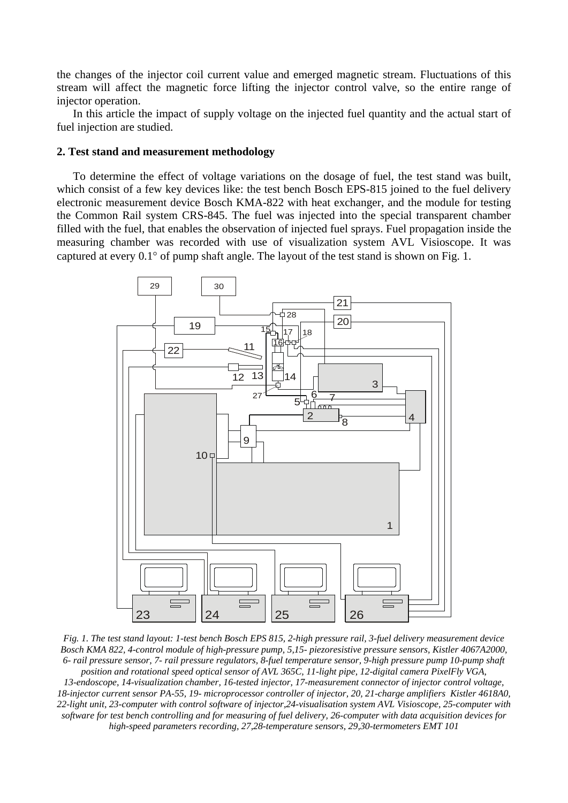the changes of the injector coil current value and emerged magnetic stream. Fluctuations of this stream will affect the magnetic force lifting the injector control valve, so the entire range of injector operation.

In this article the impact of supply voltage on the injected fuel quantity and the actual start of fuel injection are studied.

## **2. Test stand and measurement methodology**

To determine the effect of voltage variations on the dosage of fuel, the test stand was built, which consist of a few key devices like: the test bench Bosch EPS-815 joined to the fuel delivery electronic measurement device Bosch KMA-822 with heat exchanger, and the module for testing the Common Rail system CRS-845. The fuel was injected into the special transparent chamber filled with the fuel, that enables the observation of injected fuel sprays. Fuel propagation inside the measuring chamber was recorded with use of visualization system AVL Visioscope. It was captured at every  $0.1^{\circ}$  of pump shaft angle. The layout of the test stand is shown on Fig. 1.



*Fig. 1. The test stand layout: 1-test bench Bosch EPS 815, 2-high pressure rail, 3-fuel delivery measurement device Bosch KMA 822, 4-control module of high-pressure pump, 5,15- piezoresistive pressure sensors, Kistler 4067A2000, 6- rail pressure sensor, 7- rail pressure regulators, 8-fuel temperature sensor, 9-high pressure pump 10-pump shaft position and rotational speed optical sensor of AVL 365C, 11-light pipe, 12-digital camera PixelFly VGA, 13-endoscope, 14-visualization chamber, 16-tested injector, 17-measurement connector of injector control voltage, 18-injector current sensor PA-55, 19- microprocessor controller of injector, 20, 21-charge amplifiers Kistler 4618A0, 22-light unit, 23-computer with control software of injector,24-visualisation system AVL Visioscope, 25-computer with software for test bench controlling and for measuring of fuel delivery, 26-computer with data acquisition devices for high-speed parameters recording, 27,28-temperature sensors, 29,30-termometers EMT 101*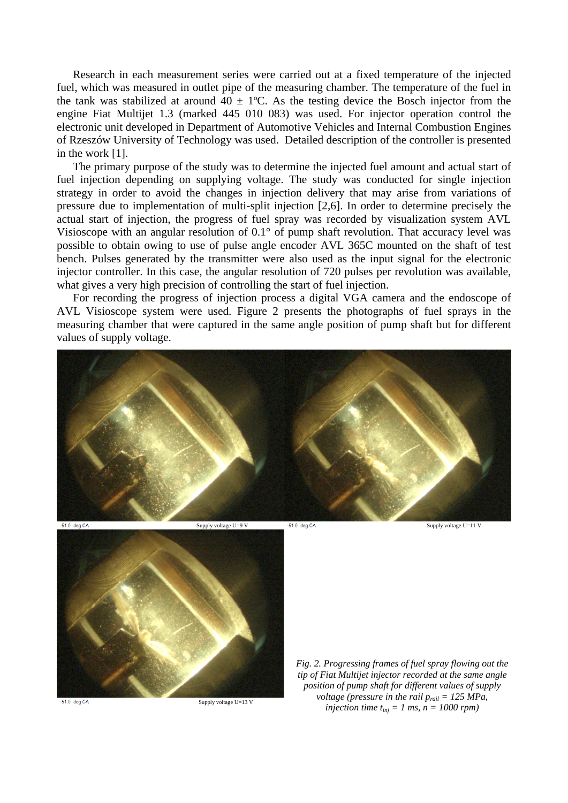Research in each measurement series were carried out at a fixed temperature of the injected fuel, which was measured in outlet pipe of the measuring chamber. The temperature of the fuel in the tank was stabilized at around  $40 \pm 1$ °C. As the testing device the Bosch injector from the engine Fiat Multijet 1.3 (marked 445 010 083) was used. For injector operation control the electronic unit developed in Department of Automotive Vehicles and Internal Combustion Engines of Rzeszów University of Technology was used. Detailed description of the controller is presented in the work [1].

The primary purpose of the study was to determine the injected fuel amount and actual start of fuel injection depending on supplying voltage. The study was conducted for single injection strategy in order to avoid the changes in injection delivery that may arise from variations of pressure due to implementation of multi-split injection [2,6]. In order to determine precisely the actual start of injection, the progress of fuel spray was recorded by visualization system AVL Visioscope with an angular resolution of 0.1° of pump shaft revolution. That accuracy level was possible to obtain owing to use of pulse angle encoder AVL 365C mounted on the shaft of test bench. Pulses generated by the transmitter were also used as the input signal for the electronic injector controller. In this case, the angular resolution of 720 pulses per revolution was available, what gives a very high precision of controlling the start of fuel injection.

For recording the progress of injection process a digital VGA camera and the endoscope of AVL Visioscope system were used. Figure 2 presents the photographs of fuel sprays in the measuring chamber that were captured in the same angle position of pump shaft but for different values of supply voltage.





-51.0 deg CA

Supply voltage U=13 V

*Fig. 2. Progressing frames of fuel spray flowing out the tip of Fiat Multijet injector recorded at the same angle position of pump shaft for different values of supply voltage (pressure in the rail*  $p_{\text{tail}} = 125 \text{ MPa}$ *, injection time*  $t_{ini} = 1$  *ms, n = 1000 rpm)*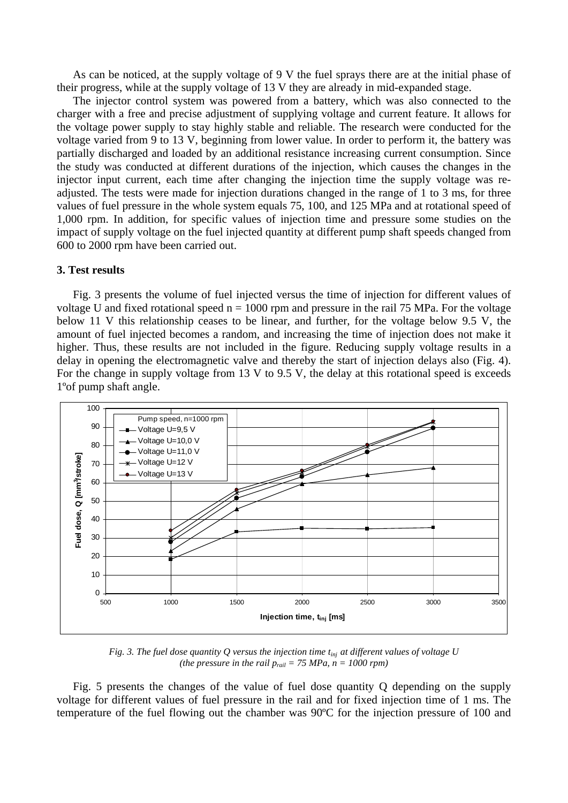As can be noticed, at the supply voltage of 9 V the fuel sprays there are at the initial phase of their progress, while at the supply voltage of 13 V they are already in mid-expanded stage.

The injector control system was powered from a battery, which was also connected to the charger with a free and precise adjustment of supplying voltage and current feature. It allows for the voltage power supply to stay highly stable and reliable. The research were conducted for the voltage varied from 9 to 13 V, beginning from lower value. In order to perform it, the battery was partially discharged and loaded by an additional resistance increasing current consumption. Since the study was conducted at different durations of the injection, which causes the changes in the injector input current, each time after changing the injection time the supply voltage was readjusted. The tests were made for injection durations changed in the range of 1 to 3 ms, for three values of fuel pressure in the whole system equals 75, 100, and 125 MPa and at rotational speed of 1,000 rpm. In addition, for specific values of injection time and pressure some studies on the impact of supply voltage on the fuel injected quantity at different pump shaft speeds changed from 600 to 2000 rpm have been carried out.

# **3. Test results**

Fig. 3 presents the volume of fuel injected versus the time of injection for different values of voltage U and fixed rotational speed  $n = 1000$  rpm and pressure in the rail 75 MPa. For the voltage below 11 V this relationship ceases to be linear, and further, for the voltage below 9.5 V, the amount of fuel injected becomes a random, and increasing the time of injection does not make it higher. Thus, these results are not included in the figure. Reducing supply voltage results in a delay in opening the electromagnetic valve and thereby the start of injection delays also (Fig. 4). For the change in supply voltage from 13 V to 9.5 V, the delay at this rotational speed is exceeds 1ºof pump shaft angle.



*Fig. 3. The fuel dose quantity Q versus the injection time tinj at different values of voltage U (the pressure in the rail*  $p_{\text{real}} = 75 \text{ MPa}$ *, n = 1000 rpm)* 

Fig. 5 presents the changes of the value of fuel dose quantity Q depending on the supply voltage for different values of fuel pressure in the rail and for fixed injection time of 1 ms. The temperature of the fuel flowing out the chamber was 90ºC for the injection pressure of 100 and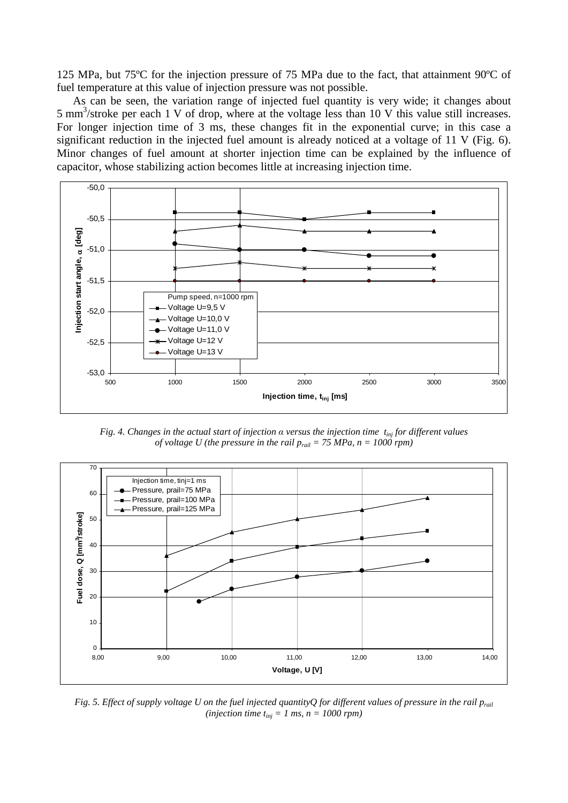125 MPa, but 75ºC for the injection pressure of 75 MPa due to the fact, that attainment 90ºC of fuel temperature at this value of injection pressure was not possible.

As can be seen, the variation range of injected fuel quantity is very wide; it changes about 5 mm<sup>3</sup>/stroke per each 1 V of drop, where at the voltage less than 10 V this value still increases. For longer injection time of 3 ms, these changes fit in the exponential curve; in this case a significant reduction in the injected fuel amount is already noticed at a voltage of 11 V (Fig. 6). Minor changes of fuel amount at shorter injection time can be explained by the influence of capacitor, whose stabilizing action becomes little at increasing injection time.



*Fig. 4. Changes in the actual start of injection α versus the injection time tinj for different values of voltage U (the pressure in the rail*  $p_{\text{tail}} = 75 \text{ MPa}$ *, n = 1000 rpm)* 



*Fig. 5. Effect of supply voltage U on the fuel injected quantityQ for different values of pressure in the rail p<sub>rail</sub>* (*injection time*  $t_{\text{inj}} = 1$  *ms,*  $n = 1000$  *rpm*)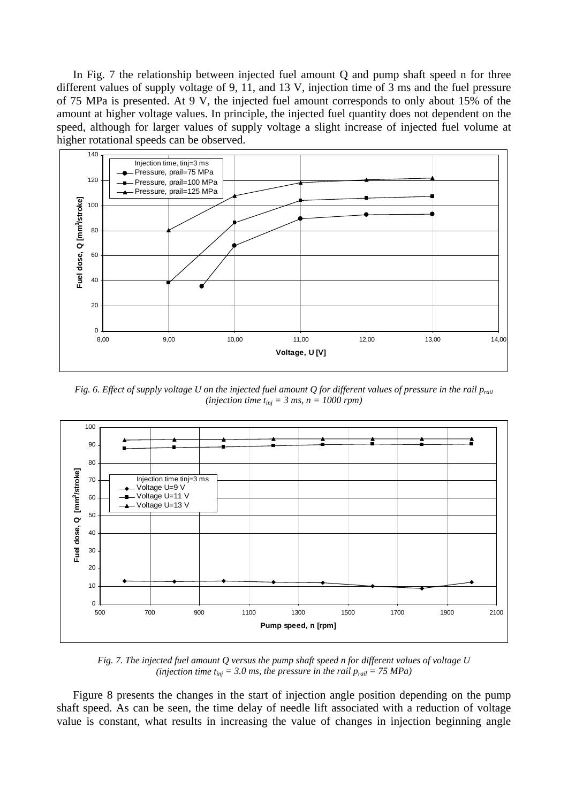In Fig. 7 the relationship between injected fuel amount Q and pump shaft speed n for three different values of supply voltage of 9, 11, and 13 V, injection time of 3 ms and the fuel pressure of 75 MPa is presented. At 9 V, the injected fuel amount corresponds to only about 15% of the amount at higher voltage values. In principle, the injected fuel quantity does not dependent on the speed, although for larger values of supply voltage a slight increase of injected fuel volume at higher rotational speeds can be observed.



*Fig. 6. Effect of supply voltage U on the injected fuel amount Q for different values of pressure in the rail p<sub>rail</sub>*  $(injection time t_{ini} = 3 ms, n = 1000 rpm)$ 



*Fig. 7. The injected fuel amount Q versus the pump shaft speed n for different values of voltage U*  (injection time  $t_{\text{ini}} = 3.0$  ms, the pressure in the rail  $p_{\text{tail}} = 75 \text{ MPa}$ )

Figure 8 presents the changes in the start of injection angle position depending on the pump shaft speed. As can be seen, the time delay of needle lift associated with a reduction of voltage value is constant, what results in increasing the value of changes in injection beginning angle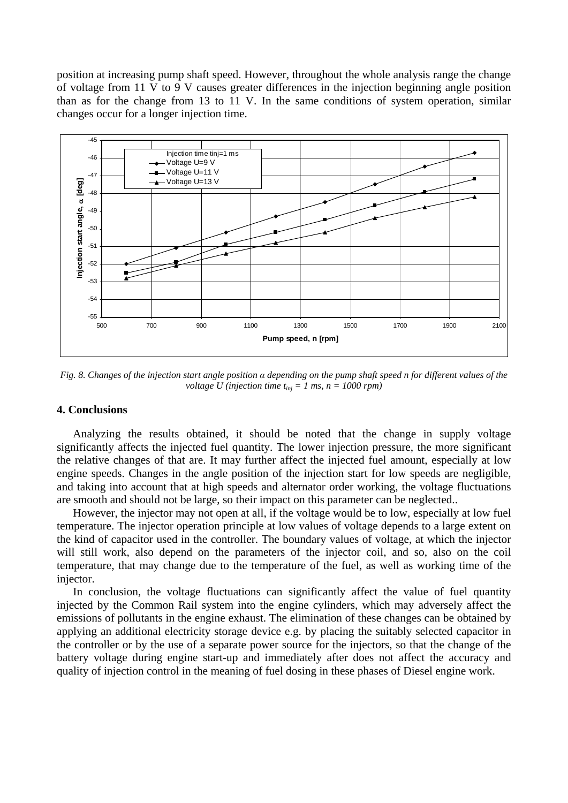position at increasing pump shaft speed. However, throughout the whole analysis range the change of voltage from 11 V to 9 V causes greater differences in the injection beginning angle position than as for the change from 13 to 11 V. In the same conditions of system operation, similar changes occur for a longer injection time.



*Fig. 8. Changes of the injection start angle position α depending on the pump shaft speed n for different values of the voltage U (injection time*  $t_{inj} = 1$  *ms, n = 1000 rpm)* 

#### **4. Conclusions**

Analyzing the results obtained, it should be noted that the change in supply voltage significantly affects the injected fuel quantity. The lower injection pressure, the more significant the relative changes of that are. It may further affect the injected fuel amount, especially at low engine speeds. Changes in the angle position of the injection start for low speeds are negligible, and taking into account that at high speeds and alternator order working, the voltage fluctuations are smooth and should not be large, so their impact on this parameter can be neglected..

However, the injector may not open at all, if the voltage would be to low, especially at low fuel temperature. The injector operation principle at low values of voltage depends to a large extent on the kind of capacitor used in the controller. The boundary values of voltage, at which the injector will still work, also depend on the parameters of the injector coil, and so, also on the coil temperature, that may change due to the temperature of the fuel, as well as working time of the injector.

In conclusion, the voltage fluctuations can significantly affect the value of fuel quantity injected by the Common Rail system into the engine cylinders, which may adversely affect the emissions of pollutants in the engine exhaust. The elimination of these changes can be obtained by applying an additional electricity storage device e.g. by placing the suitably selected capacitor in the controller or by the use of a separate power source for the injectors, so that the change of the battery voltage during engine start-up and immediately after does not affect the accuracy and quality of injection control in the meaning of fuel dosing in these phases of Diesel engine work.